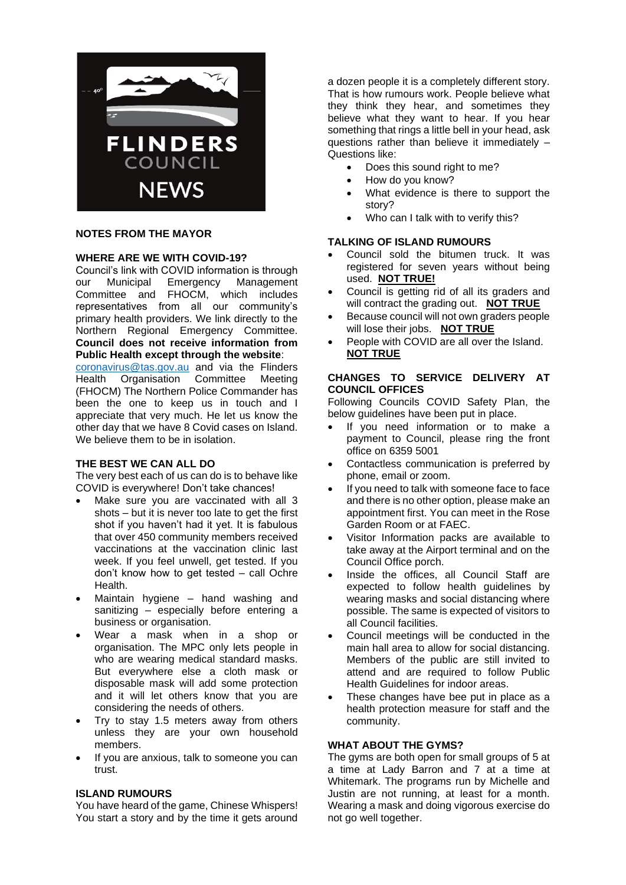

# **NOTES FROM THE MAYOR**

# **WHERE ARE WE WITH COVID-19?**

Council's link with COVID information is through our Municipal Emergency Management Committee and FHOCM, which includes representatives from all our community's primary health providers. We link directly to the Northern Regional Emergency Committee. **Council does not receive information from Public Health except through the website**:

[coronavirus@tas.gov.au](mailto:coronavirus@tas.gov.au) and via the Flinders Health Organisation Committee Meeting (FHOCM) The Northern Police Commander has been the one to keep us in touch and I appreciate that very much. He let us know the other day that we have 8 Covid cases on Island. We believe them to be in isolation.

# **THE BEST WE CAN ALL DO**

The very best each of us can do is to behave like COVID is everywhere! Don't take chances!

- Make sure you are vaccinated with all 3 shots  $-$  but it is never too late to get the first shot if you haven't had it yet. It is fabulous that over 450 community members received vaccinations at the vaccination clinic last week. If you feel unwell, get tested. If you don't know how to get tested – call Ochre Health.
- Maintain hygiene hand washing and sanitizing – especially before entering a business or organisation.
- Wear a mask when in a shop or organisation. The MPC only lets people in who are wearing medical standard masks. But everywhere else a cloth mask or disposable mask will add some protection and it will let others know that you are considering the needs of others.
- Try to stay 1.5 meters away from others unless they are your own household members.
- If you are anxious, talk to someone you can trust.

# **ISLAND RUMOURS**

You have heard of the game, Chinese Whispers! You start a story and by the time it gets around a dozen people it is a completely different story. That is how rumours work. People believe what they think they hear, and sometimes they believe what they want to hear. If you hear something that rings a little bell in your head, ask questions rather than believe it immediately – Questions like:

- Does this sound right to me?
- How do you know?
- What evidence is there to support the story?
- Who can I talk with to verify this?

### **TALKING OF ISLAND RUMOURS**

- Council sold the bitumen truck. It was registered for seven years without being used. **NOT TRUE!**
- Council is getting rid of all its graders and will contract the grading out. **NOT TRUE**
- Because council will not own graders people will lose their jobs. **NOT TRUE**
- People with COVID are all over the Island. **NOT TRUE**

# **CHANGES TO SERVICE DELIVERY AT COUNCIL OFFICES**

Following Councils COVID Safety Plan, the below guidelines have been put in place.

- If you need information or to make a payment to Council, please ring the front office on 6359 5001
- Contactless communication is preferred by phone, email or zoom.
- If you need to talk with someone face to face and there is no other option, please make an appointment first. You can meet in the Rose Garden Room or at FAEC.
- Visitor Information packs are available to take away at the Airport terminal and on the Council Office porch.
- Inside the offices, all Council Staff are expected to follow health guidelines by wearing masks and social distancing where possible. The same is expected of visitors to all Council facilities.
- Council meetings will be conducted in the main hall area to allow for social distancing. Members of the public are still invited to attend and are required to follow Public Health Guidelines for indoor areas.
- These changes have bee put in place as a health protection measure for staff and the community.

# **WHAT ABOUT THE GYMS?**

The gyms are both open for small groups of 5 at a time at Lady Barron and 7 at a time at Whitemark. The programs run by Michelle and Justin are not running, at least for a month. Wearing a mask and doing vigorous exercise do not go well together.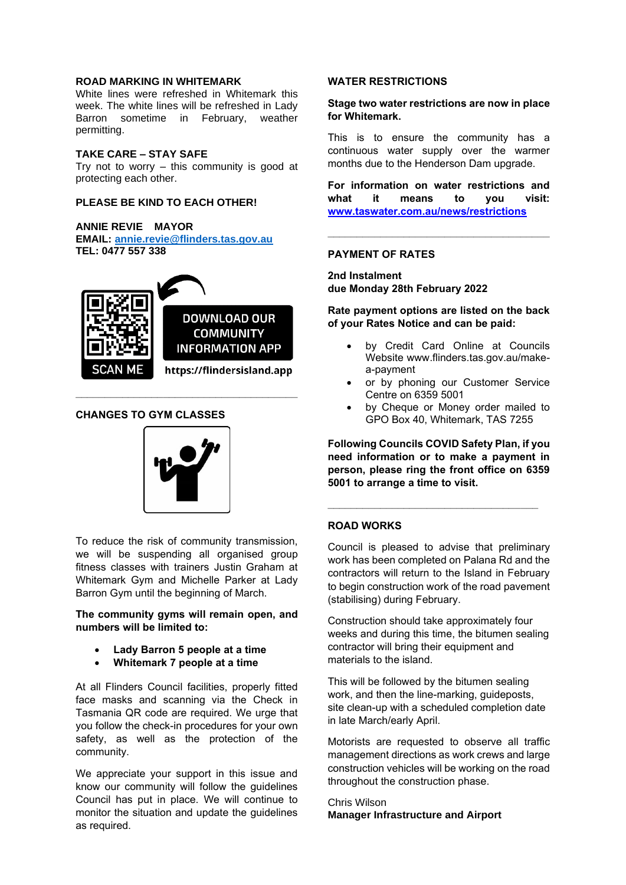## **ROAD MARKING IN WHITEMARK**

White lines were refreshed in Whitemark this week. The white lines will be refreshed in Lady Barron sometime in February, weather permitting.

## **TAKE CARE – STAY SAFE**

Try not to worry – this community is good at protecting each other.

### **PLEASE BE KIND TO EACH OTHER!**

#### **ANNIE REVIE MAYOR**

**EMAIL: [annie.revie@flinders.tas.gov.au](mailto:annie.revie@flinders.tas.gov.au) TEL: 0477 557 338**



**\_\_\_\_\_\_\_\_\_\_\_\_\_\_\_\_\_\_\_\_\_\_\_\_\_\_\_\_\_\_\_\_\_\_\_\_\_\_**

### **CHANGES TO GYM CLASSES**



To reduce the risk of community transmission, we will be suspending all organised group fitness classes with trainers Justin Graham at Whitemark Gym and Michelle Parker at Lady Barron Gym until the beginning of March.

**The community gyms will remain open, and numbers will be limited to:**

- **Lady Barron 5 people at a time**
- **Whitemark 7 people at a time**

At all Flinders Council facilities, properly fitted face masks and scanning via the Check in Tasmania QR code are required. We urge that you follow the check-in procedures for your own safety, as well as the protection of the community.

We appreciate your support in this issue and know our community will follow the guidelines Council has put in place. We will continue to monitor the situation and update the guidelines as required.

#### **WATER RESTRICTIONS**

### **Stage two water restrictions are now in place for Whitemark.**

This is to ensure the community has a continuous water supply over the warmer months due to the Henderson Dam upgrade.

**For information on water restrictions and what it means to you visit: [www.taswater.com.au/news/restrictions](http://www.taswater.com.au/news/restrictions)**

**\_\_\_\_\_\_\_\_\_\_\_\_\_\_\_\_\_\_\_\_\_\_\_\_\_\_\_\_\_\_\_\_\_\_\_\_\_\_**

#### **PAYMENT OF RATES**

**2nd Instalment due Monday 28th February 2022**

### **Rate payment options are listed on the back of your Rates Notice and can be paid:**

- by Credit Card Online at Councils Website www.flinders.tas.gov.au/makea-payment
- or by phoning our Customer Service Centre on 6359 5001
- by Cheque or Money order mailed to GPO Box 40, Whitemark, TAS 7255

**Following Councils COVID Safety Plan, if you need information or to make a payment in person, please ring the front office on 6359 5001 to arrange a time to visit.**

**\_\_\_\_\_\_\_\_\_\_\_\_\_\_\_\_\_\_\_\_\_\_\_\_\_\_\_\_\_\_\_\_\_\_\_\_**

## **ROAD WORKS**

Council is pleased to advise that preliminary work has been completed on Palana Rd and the contractors will return to the Island in February to begin construction work of the road pavement (stabilising) during February.

Construction should take approximately four weeks and during this time, the bitumen sealing contractor will bring their equipment and materials to the island.

This will be followed by the bitumen sealing work, and then the line-marking, guideposts, site clean-up with a scheduled completion date in late March/early April.

Motorists are requested to observe all traffic management directions as work crews and large construction vehicles will be working on the road throughout the construction phase.

Chris Wilson **Manager Infrastructure and Airport**